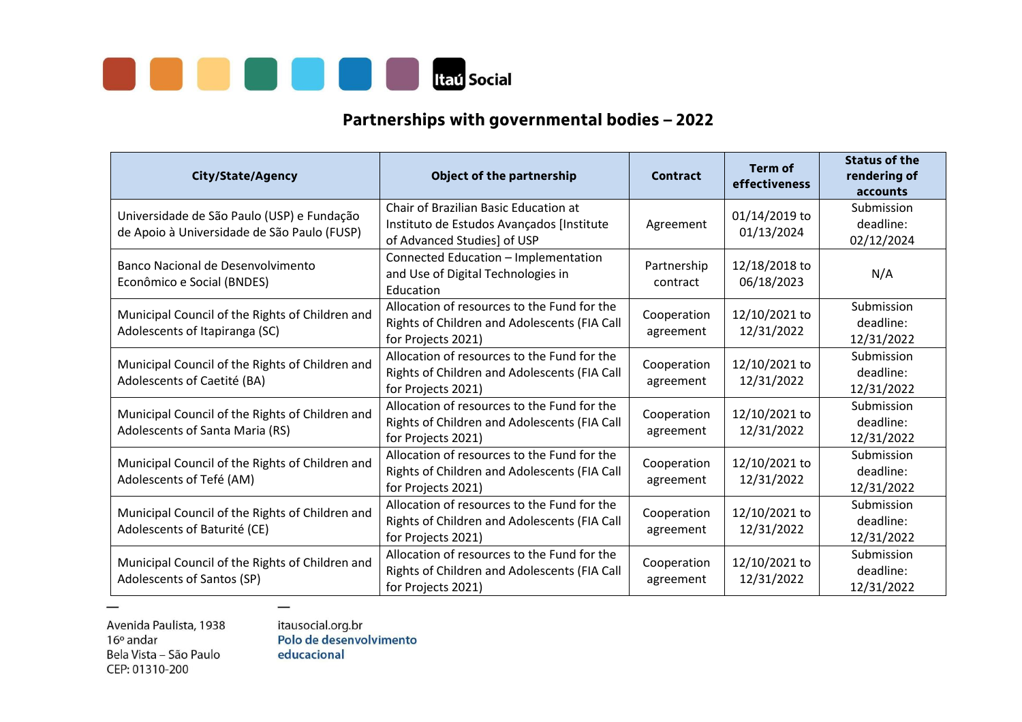

## **Partnerships with governmental bodies – 2022**

| <b>City/State/Agency</b>                                                                  | <b>Object of the partnership</b>                                                                                  | Contract                 | <b>Term of</b><br>effectiveness | <b>Status of the</b><br>rendering of<br>accounts |
|-------------------------------------------------------------------------------------------|-------------------------------------------------------------------------------------------------------------------|--------------------------|---------------------------------|--------------------------------------------------|
| Universidade de São Paulo (USP) e Fundação<br>de Apoio à Universidade de São Paulo (FUSP) | Chair of Brazilian Basic Education at<br>Instituto de Estudos Avançados [Institute<br>of Advanced Studies] of USP | Agreement                | 01/14/2019 to<br>01/13/2024     | Submission<br>deadline:<br>02/12/2024            |
| Banco Nacional de Desenvolvimento<br>Econômico e Social (BNDES)                           | Connected Education - Implementation<br>and Use of Digital Technologies in<br>Education                           | Partnership<br>contract  | 12/18/2018 to<br>06/18/2023     | N/A                                              |
| Municipal Council of the Rights of Children and<br>Adolescents of Itapiranga (SC)         | Allocation of resources to the Fund for the<br>Rights of Children and Adolescents (FIA Call<br>for Projects 2021) | Cooperation<br>agreement | 12/10/2021 to<br>12/31/2022     | Submission<br>deadline:<br>12/31/2022            |
| Municipal Council of the Rights of Children and<br>Adolescents of Caetité (BA)            | Allocation of resources to the Fund for the<br>Rights of Children and Adolescents (FIA Call<br>for Projects 2021) | Cooperation<br>agreement | 12/10/2021 to<br>12/31/2022     | Submission<br>deadline:<br>12/31/2022            |
| Municipal Council of the Rights of Children and<br>Adolescents of Santa Maria (RS)        | Allocation of resources to the Fund for the<br>Rights of Children and Adolescents (FIA Call<br>for Projects 2021) | Cooperation<br>agreement | 12/10/2021 to<br>12/31/2022     | Submission<br>deadline:<br>12/31/2022            |
| Municipal Council of the Rights of Children and<br>Adolescents of Tefé (AM)               | Allocation of resources to the Fund for the<br>Rights of Children and Adolescents (FIA Call<br>for Projects 2021) | Cooperation<br>agreement | 12/10/2021 to<br>12/31/2022     | Submission<br>deadline:<br>12/31/2022            |
| Municipal Council of the Rights of Children and<br>Adolescents of Baturité (CE)           | Allocation of resources to the Fund for the<br>Rights of Children and Adolescents (FIA Call<br>for Projects 2021) | Cooperation<br>agreement | 12/10/2021 to<br>12/31/2022     | Submission<br>deadline:<br>12/31/2022            |
| Municipal Council of the Rights of Children and<br>Adolescents of Santos (SP)             | Allocation of resources to the Fund for the<br>Rights of Children and Adolescents (FIA Call<br>for Projects 2021) | Cooperation<br>agreement | 12/10/2021 to<br>12/31/2022     | Submission<br>deadline:<br>12/31/2022            |

Avenida Paulista, 1938  $16°$  andar Bela Vista - São Paulo CEP: 01310-200

itausocial.org.br<br>Polo de desenvolvimento educacional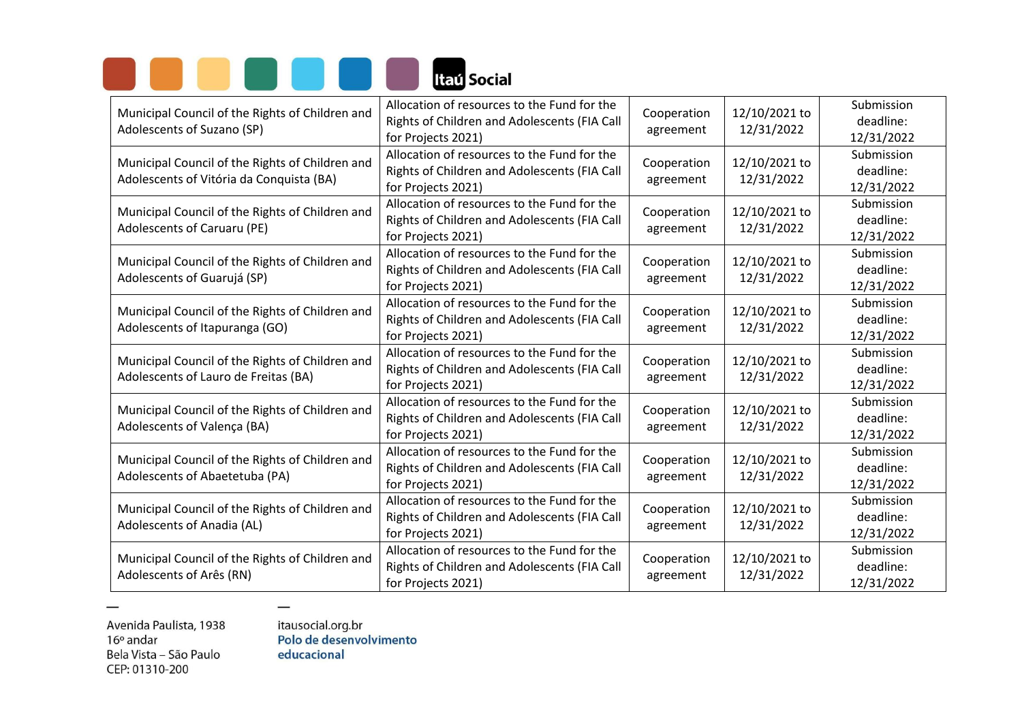

| Municipal Council of the Rights of Children and<br>Adolescents of Suzano (SP)               | Allocation of resources to the Fund for the<br>Rights of Children and Adolescents (FIA Call<br>for Projects 2021)                             | Cooperation<br>agreement | 12/10/2021 to<br>12/31/2022 | Submission<br>deadline:<br>12/31/2022 |
|---------------------------------------------------------------------------------------------|-----------------------------------------------------------------------------------------------------------------------------------------------|--------------------------|-----------------------------|---------------------------------------|
| Municipal Council of the Rights of Children and<br>Adolescents of Vitória da Conquista (BA) | Allocation of resources to the Fund for the<br>Rights of Children and Adolescents (FIA Call<br>for Projects 2021)                             | Cooperation<br>agreement | 12/10/2021 to<br>12/31/2022 | Submission<br>deadline:<br>12/31/2022 |
| Municipal Council of the Rights of Children and<br><b>Adolescents of Caruaru (PE)</b>       | Allocation of resources to the Fund for the<br>Rights of Children and Adolescents (FIA Call<br>for Projects 2021)                             | Cooperation<br>agreement | 12/10/2021 to<br>12/31/2022 | Submission<br>deadline:<br>12/31/2022 |
| Municipal Council of the Rights of Children and<br>Adolescents of Guarujá (SP)              | Allocation of resources to the Fund for the<br>Cooperation<br>Rights of Children and Adolescents (FIA Call<br>agreement<br>for Projects 2021) |                          | 12/10/2021 to<br>12/31/2022 | Submission<br>deadline:<br>12/31/2022 |
| Municipal Council of the Rights of Children and<br>Adolescents of Itapuranga (GO)           | Allocation of resources to the Fund for the<br>Rights of Children and Adolescents (FIA Call<br>for Projects 2021)                             | Cooperation<br>agreement | 12/10/2021 to<br>12/31/2022 | Submission<br>deadline:<br>12/31/2022 |
| Municipal Council of the Rights of Children and<br>Adolescents of Lauro de Freitas (BA)     | Allocation of resources to the Fund for the<br>Rights of Children and Adolescents (FIA Call<br>for Projects 2021)                             | Cooperation<br>agreement | 12/10/2021 to<br>12/31/2022 | Submission<br>deadline:<br>12/31/2022 |
| Municipal Council of the Rights of Children and<br>Adolescents of Valença (BA)              | Allocation of resources to the Fund for the<br>Rights of Children and Adolescents (FIA Call<br>for Projects 2021)                             | Cooperation<br>agreement | 12/10/2021 to<br>12/31/2022 | Submission<br>deadline:<br>12/31/2022 |
| Municipal Council of the Rights of Children and<br>Adolescents of Abaetetuba (PA)           | Allocation of resources to the Fund for the<br>Rights of Children and Adolescents (FIA Call<br>for Projects 2021)                             | Cooperation<br>agreement | 12/10/2021 to<br>12/31/2022 | Submission<br>deadline:<br>12/31/2022 |
| Municipal Council of the Rights of Children and<br>Adolescents of Anadia (AL)               | Allocation of resources to the Fund for the<br>Rights of Children and Adolescents (FIA Call<br>for Projects 2021)                             | Cooperation<br>agreement | 12/10/2021 to<br>12/31/2022 | Submission<br>deadline:<br>12/31/2022 |
| Municipal Council of the Rights of Children and<br>Adolescents of Arês (RN)                 | Allocation of resources to the Fund for the<br>Rights of Children and Adolescents (FIA Call<br>for Projects 2021)                             | Cooperation<br>agreement | 12/10/2021 to<br>12/31/2022 | Submission<br>deadline:<br>12/31/2022 |

 $\overline{\phantom{0}}$ 

itausocial.org.br<br>Polo de desenvolvimento educacional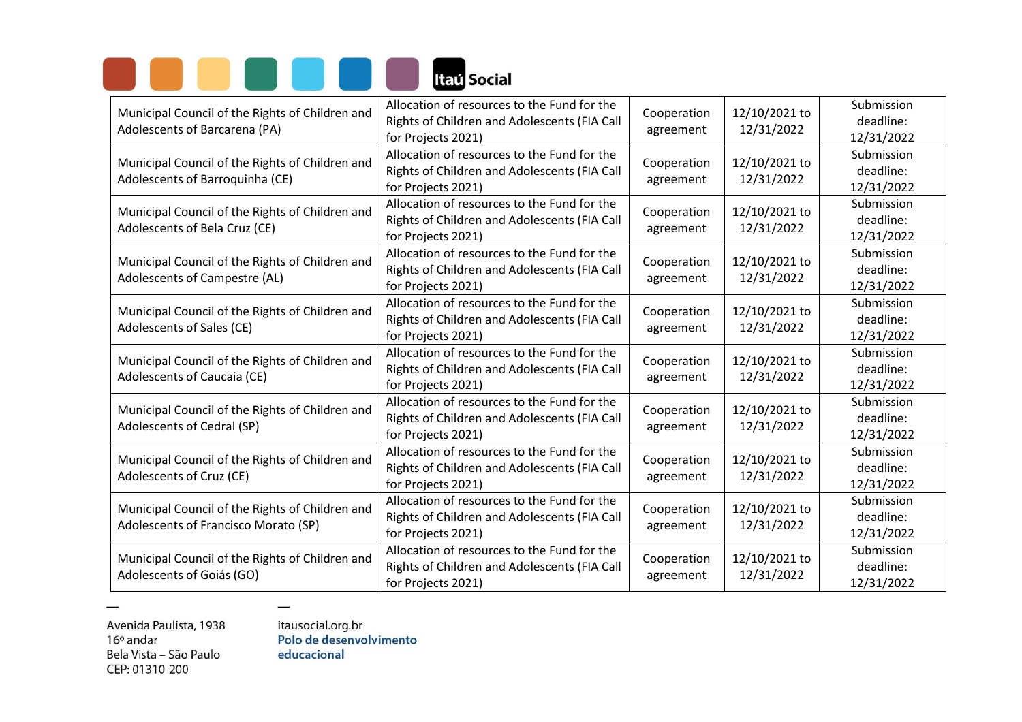

| Municipal Council of the Rights of Children and<br>Adolescents of Barcarena (PA)        | Allocation of resources to the Fund for the<br>Rights of Children and Adolescents (FIA Call<br>for Projects 2021) | Cooperation<br>agreement | 12/10/2021 to<br>12/31/2022 | Submission<br>deadline:<br>12/31/2022 |
|-----------------------------------------------------------------------------------------|-------------------------------------------------------------------------------------------------------------------|--------------------------|-----------------------------|---------------------------------------|
| Municipal Council of the Rights of Children and<br>Adolescents of Barroquinha (CE)      | Allocation of resources to the Fund for the<br>Rights of Children and Adolescents (FIA Call<br>for Projects 2021) | Cooperation<br>agreement | 12/10/2021 to<br>12/31/2022 | Submission<br>deadline:<br>12/31/2022 |
| Municipal Council of the Rights of Children and<br>Adolescents of Bela Cruz (CE)        | Allocation of resources to the Fund for the<br>Rights of Children and Adolescents (FIA Call<br>for Projects 2021) | Cooperation<br>agreement | 12/10/2021 to<br>12/31/2022 | Submission<br>deadline:<br>12/31/2022 |
| Municipal Council of the Rights of Children and<br>Adolescents of Campestre (AL)        | Allocation of resources to the Fund for the<br>Rights of Children and Adolescents (FIA Call<br>for Projects 2021) | Cooperation<br>agreement | 12/10/2021 to<br>12/31/2022 | Submission<br>deadline:<br>12/31/2022 |
| Municipal Council of the Rights of Children and<br>Adolescents of Sales (CE)            | Allocation of resources to the Fund for the<br>Rights of Children and Adolescents (FIA Call<br>for Projects 2021) | Cooperation<br>agreement | 12/10/2021 to<br>12/31/2022 | Submission<br>deadline:<br>12/31/2022 |
| Municipal Council of the Rights of Children and<br>Adolescents of Caucaia (CE)          | Allocation of resources to the Fund for the<br>Rights of Children and Adolescents (FIA Call<br>for Projects 2021) | Cooperation<br>agreement | 12/10/2021 to<br>12/31/2022 | Submission<br>deadline:<br>12/31/2022 |
| Municipal Council of the Rights of Children and<br>Adolescents of Cedral (SP)           | Allocation of resources to the Fund for the<br>Rights of Children and Adolescents (FIA Call<br>for Projects 2021) | Cooperation<br>agreement | 12/10/2021 to<br>12/31/2022 | Submission<br>deadline:<br>12/31/2022 |
| Municipal Council of the Rights of Children and<br>Adolescents of Cruz (CE)             | Allocation of resources to the Fund for the<br>Rights of Children and Adolescents (FIA Call<br>for Projects 2021) | Cooperation<br>agreement | 12/10/2021 to<br>12/31/2022 | Submission<br>deadline:<br>12/31/2022 |
| Municipal Council of the Rights of Children and<br>Adolescents of Francisco Morato (SP) | Allocation of resources to the Fund for the<br>Rights of Children and Adolescents (FIA Call<br>for Projects 2021) | Cooperation<br>agreement | 12/10/2021 to<br>12/31/2022 | Submission<br>deadline:<br>12/31/2022 |
| Municipal Council of the Rights of Children and<br>Adolescents of Goiás (GO)            | Allocation of resources to the Fund for the<br>Rights of Children and Adolescents (FIA Call<br>for Projects 2021) | Cooperation<br>agreement | 12/10/2021 to<br>12/31/2022 | Submission<br>deadline:<br>12/31/2022 |

itausocial.org.br<br>Polo de desenvolvimento educacional

 $\frac{1}{2}$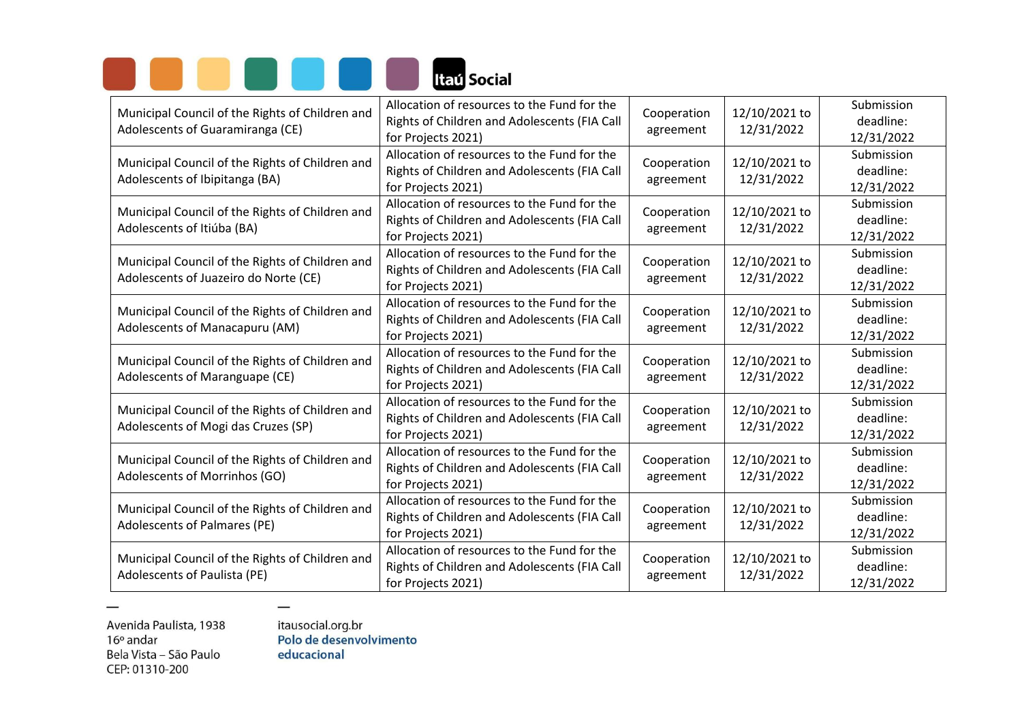

| Municipal Council of the Rights of Children and<br>Adolescents of Guaramiranga (CE)      | Allocation of resources to the Fund for the<br>Rights of Children and Adolescents (FIA Call<br>for Projects 2021) | Cooperation<br>agreement | 12/10/2021 to<br>12/31/2022 | Submission<br>deadline:<br>12/31/2022 |
|------------------------------------------------------------------------------------------|-------------------------------------------------------------------------------------------------------------------|--------------------------|-----------------------------|---------------------------------------|
| Municipal Council of the Rights of Children and<br>Adolescents of Ibipitanga (BA)        | Allocation of resources to the Fund for the<br>Rights of Children and Adolescents (FIA Call<br>for Projects 2021) | Cooperation<br>agreement | 12/10/2021 to<br>12/31/2022 | Submission<br>deadline:<br>12/31/2022 |
| Municipal Council of the Rights of Children and<br>Adolescents of Itiúba (BA)            | Allocation of resources to the Fund for the<br>Rights of Children and Adolescents (FIA Call<br>for Projects 2021) | Cooperation<br>agreement | 12/10/2021 to<br>12/31/2022 | Submission<br>deadline:<br>12/31/2022 |
| Municipal Council of the Rights of Children and<br>Adolescents of Juazeiro do Norte (CE) | Allocation of resources to the Fund for the<br>Rights of Children and Adolescents (FIA Call<br>for Projects 2021) | Cooperation<br>agreement | 12/10/2021 to<br>12/31/2022 | Submission<br>deadline:<br>12/31/2022 |
| Municipal Council of the Rights of Children and<br>Adolescents of Manacapuru (AM)        | Allocation of resources to the Fund for the<br>Rights of Children and Adolescents (FIA Call<br>for Projects 2021) | Cooperation<br>agreement | 12/10/2021 to<br>12/31/2022 | Submission<br>deadline:<br>12/31/2022 |
| Municipal Council of the Rights of Children and<br>Adolescents of Maranguape (CE)        | Allocation of resources to the Fund for the<br>Rights of Children and Adolescents (FIA Call<br>for Projects 2021) | Cooperation<br>agreement | 12/10/2021 to<br>12/31/2022 | Submission<br>deadline:<br>12/31/2022 |
| Municipal Council of the Rights of Children and<br>Adolescents of Mogi das Cruzes (SP)   | Allocation of resources to the Fund for the<br>Rights of Children and Adolescents (FIA Call<br>for Projects 2021) | Cooperation<br>agreement | 12/10/2021 to<br>12/31/2022 | Submission<br>deadline:<br>12/31/2022 |
| Municipal Council of the Rights of Children and<br>Adolescents of Morrinhos (GO)         | Allocation of resources to the Fund for the<br>Rights of Children and Adolescents (FIA Call<br>for Projects 2021) | Cooperation<br>agreement | 12/10/2021 to<br>12/31/2022 | Submission<br>deadline:<br>12/31/2022 |
| Municipal Council of the Rights of Children and<br>Adolescents of Palmares (PE)          | Allocation of resources to the Fund for the<br>Rights of Children and Adolescents (FIA Call<br>for Projects 2021) | Cooperation<br>agreement | 12/10/2021 to<br>12/31/2022 | Submission<br>deadline:<br>12/31/2022 |
| Municipal Council of the Rights of Children and<br>Adolescents of Paulista (PE)          | Allocation of resources to the Fund for the<br>Rights of Children and Adolescents (FIA Call<br>for Projects 2021) | Cooperation<br>agreement | 12/10/2021 to<br>12/31/2022 | Submission<br>deadline:<br>12/31/2022 |

 $\overline{\phantom{0}}$ 

itausocial.org.br<br>Polo de desenvolvimento educacional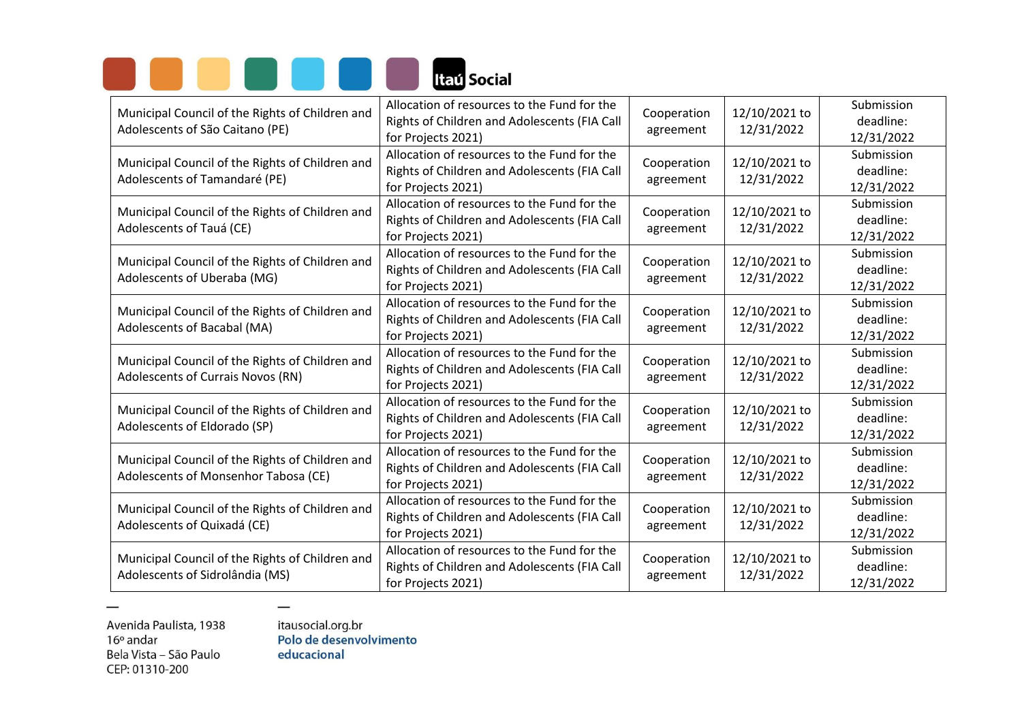

| Municipal Council of the Rights of Children and<br>Adolescents of São Caitano (PE)      | Allocation of resources to the Fund for the<br>Rights of Children and Adolescents (FIA Call<br>for Projects 2021) | Cooperation<br>agreement | 12/10/2021 to<br>12/31/2022 | Submission<br>deadline:<br>12/31/2022 |
|-----------------------------------------------------------------------------------------|-------------------------------------------------------------------------------------------------------------------|--------------------------|-----------------------------|---------------------------------------|
| Municipal Council of the Rights of Children and<br>Adolescents of Tamandaré (PE)        | Allocation of resources to the Fund for the<br>Rights of Children and Adolescents (FIA Call<br>for Projects 2021) | Cooperation<br>agreement | 12/10/2021 to<br>12/31/2022 | Submission<br>deadline:<br>12/31/2022 |
| Municipal Council of the Rights of Children and<br>Adolescents of Tauá (CE)             | Allocation of resources to the Fund for the<br>Rights of Children and Adolescents (FIA Call<br>for Projects 2021) | Cooperation<br>agreement | 12/10/2021 to<br>12/31/2022 | Submission<br>deadline:<br>12/31/2022 |
| Municipal Council of the Rights of Children and<br>Adolescents of Uberaba (MG)          | Allocation of resources to the Fund for the<br>Rights of Children and Adolescents (FIA Call<br>for Projects 2021) | Cooperation<br>agreement | 12/10/2021 to<br>12/31/2022 | Submission<br>deadline:<br>12/31/2022 |
| Municipal Council of the Rights of Children and<br>Adolescents of Bacabal (MA)          | Allocation of resources to the Fund for the<br>Rights of Children and Adolescents (FIA Call<br>for Projects 2021) | Cooperation<br>agreement | 12/10/2021 to<br>12/31/2022 | Submission<br>deadline:<br>12/31/2022 |
| Municipal Council of the Rights of Children and<br>Adolescents of Currais Novos (RN)    | Allocation of resources to the Fund for the<br>Rights of Children and Adolescents (FIA Call<br>for Projects 2021) | Cooperation<br>agreement | 12/10/2021 to<br>12/31/2022 | Submission<br>deadline:<br>12/31/2022 |
| Municipal Council of the Rights of Children and<br>Adolescents of Eldorado (SP)         | Allocation of resources to the Fund for the<br>Rights of Children and Adolescents (FIA Call<br>for Projects 2021) | Cooperation<br>agreement | 12/10/2021 to<br>12/31/2022 | Submission<br>deadline:<br>12/31/2022 |
| Municipal Council of the Rights of Children and<br>Adolescents of Monsenhor Tabosa (CE) | Allocation of resources to the Fund for the<br>Rights of Children and Adolescents (FIA Call<br>for Projects 2021) | Cooperation<br>agreement | 12/10/2021 to<br>12/31/2022 | Submission<br>deadline:<br>12/31/2022 |
| Municipal Council of the Rights of Children and<br>Adolescents of Quixadá (CE)          | Allocation of resources to the Fund for the<br>Rights of Children and Adolescents (FIA Call<br>for Projects 2021) | Cooperation<br>agreement | 12/10/2021 to<br>12/31/2022 | Submission<br>deadline:<br>12/31/2022 |
| Municipal Council of the Rights of Children and<br>Adolescents of Sidrolândia (MS)      | Allocation of resources to the Fund for the<br>Rights of Children and Adolescents (FIA Call<br>for Projects 2021) | Cooperation<br>agreement | 12/10/2021 to<br>12/31/2022 | Submission<br>deadline:<br>12/31/2022 |

 $\overline{\phantom{0}}$ 

itausocial.org.br<br>Polo de desenvolvimento educacional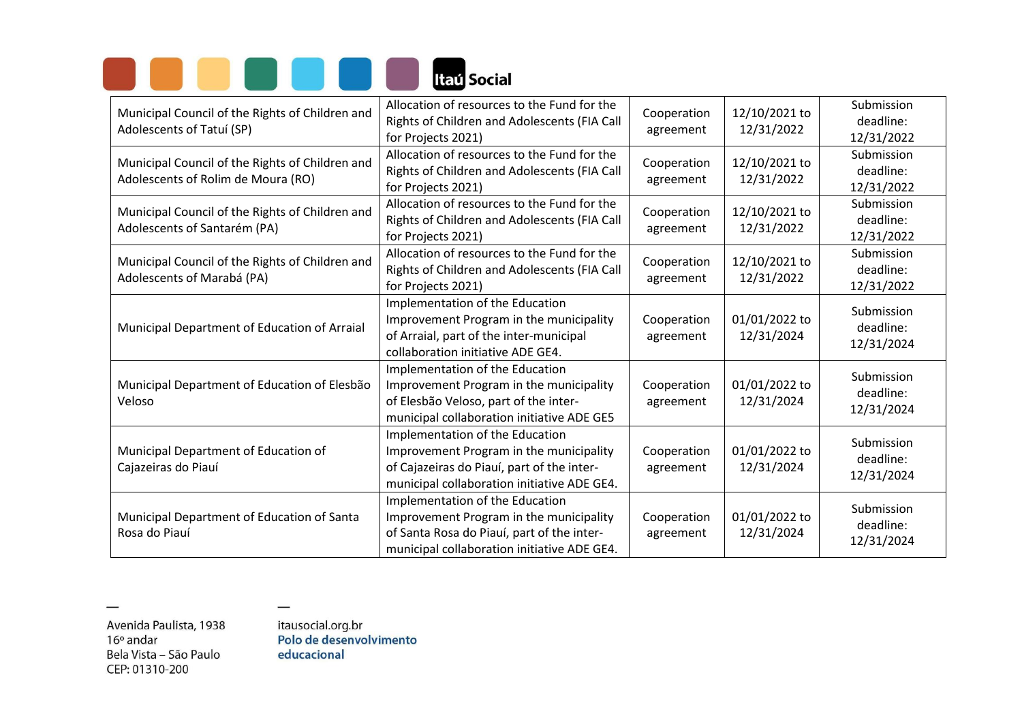

| Municipal Council of the Rights of Children and<br>Adolescents of Tatuí (SP)          | Allocation of resources to the Fund for the<br>Rights of Children and Adolescents (FIA Call<br>for Projects 2021)                                                       | Cooperation<br>agreement | 12/10/2021 to<br>12/31/2022 | Submission<br>deadline:<br>12/31/2022 |
|---------------------------------------------------------------------------------------|-------------------------------------------------------------------------------------------------------------------------------------------------------------------------|--------------------------|-----------------------------|---------------------------------------|
| Municipal Council of the Rights of Children and<br>Adolescents of Rolim de Moura (RO) | Allocation of resources to the Fund for the<br>Rights of Children and Adolescents (FIA Call<br>for Projects 2021)                                                       | Cooperation<br>agreement | 12/10/2021 to<br>12/31/2022 | Submission<br>deadline:<br>12/31/2022 |
| Municipal Council of the Rights of Children and<br>Adolescents of Santarém (PA)       | Allocation of resources to the Fund for the<br>Rights of Children and Adolescents (FIA Call<br>for Projects 2021)                                                       | Cooperation<br>agreement | 12/10/2021 to<br>12/31/2022 | Submission<br>deadline:<br>12/31/2022 |
| Municipal Council of the Rights of Children and<br>Adolescents of Marabá (PA)         | Allocation of resources to the Fund for the<br>Rights of Children and Adolescents (FIA Call<br>for Projects 2021)                                                       | Cooperation<br>agreement | 12/10/2021 to<br>12/31/2022 | Submission<br>deadline:<br>12/31/2022 |
| Municipal Department of Education of Arraial                                          | Implementation of the Education<br>Improvement Program in the municipality<br>of Arraial, part of the inter-municipal<br>collaboration initiative ADE GE4.              | Cooperation<br>agreement | 01/01/2022 to<br>12/31/2024 | Submission<br>deadline:<br>12/31/2024 |
| Municipal Department of Education of Elesbão<br>Veloso                                | Implementation of the Education<br>Improvement Program in the municipality<br>of Elesbão Veloso, part of the inter-<br>municipal collaboration initiative ADE GE5       | Cooperation<br>agreement | 01/01/2022 to<br>12/31/2024 | Submission<br>deadline:<br>12/31/2024 |
| Municipal Department of Education of<br>Cajazeiras do Piauí                           | Implementation of the Education<br>Improvement Program in the municipality<br>of Cajazeiras do Piauí, part of the inter-<br>municipal collaboration initiative ADE GE4. | Cooperation<br>agreement | 01/01/2022 to<br>12/31/2024 | Submission<br>deadline:<br>12/31/2024 |
| Municipal Department of Education of Santa<br>Rosa do Piauí                           | Implementation of the Education<br>Improvement Program in the municipality<br>of Santa Rosa do Piauí, part of the inter-<br>municipal collaboration initiative ADE GE4. | Cooperation<br>agreement | 01/01/2022 to<br>12/31/2024 | Submission<br>deadline:<br>12/31/2024 |

itausocial.org.br<br>Polo de desenvolvimento educacional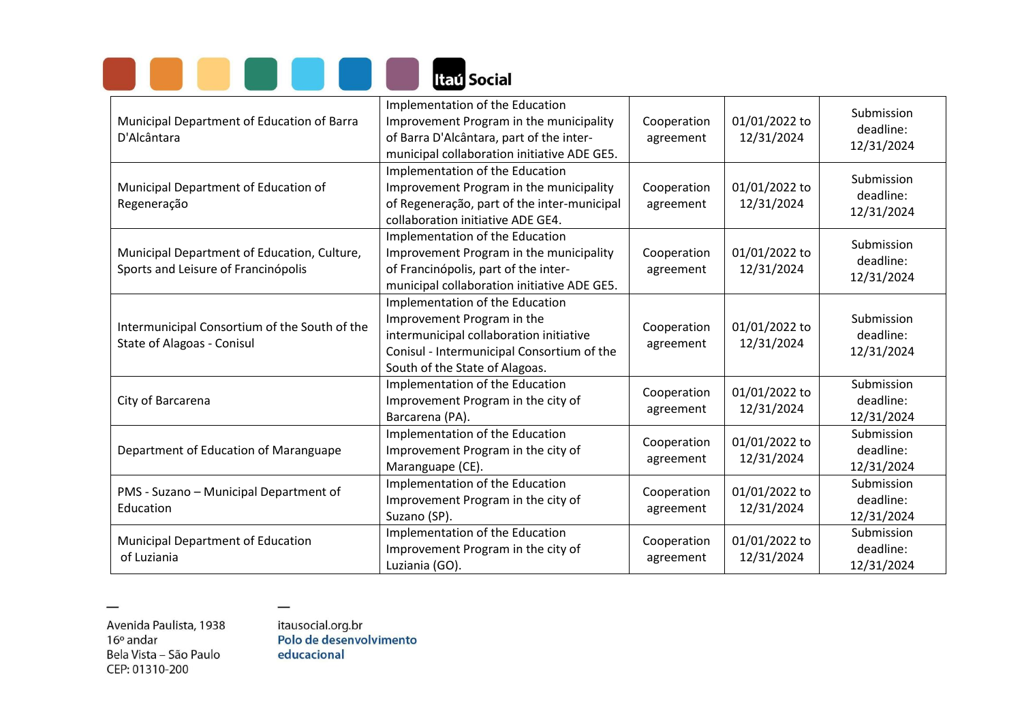|  |  |  | <b>Itaú Social</b> |
|--|--|--|--------------------|

| Municipal Department of Education of Barra<br>D'Alcântara                          | Implementation of the Education<br>Improvement Program in the municipality<br>of Barra D'Alcântara, part of the inter-<br>municipal collaboration initiative ADE GE5.                    | Cooperation<br>agreement | 01/01/2022 to<br>12/31/2024 | Submission<br>deadline:<br>12/31/2024 |
|------------------------------------------------------------------------------------|------------------------------------------------------------------------------------------------------------------------------------------------------------------------------------------|--------------------------|-----------------------------|---------------------------------------|
| Municipal Department of Education of<br>Regeneração                                | Implementation of the Education<br>Improvement Program in the municipality<br>of Regeneração, part of the inter-municipal<br>collaboration initiative ADE GE4.                           | Cooperation<br>agreement | 01/01/2022 to<br>12/31/2024 | Submission<br>deadline:<br>12/31/2024 |
| Municipal Department of Education, Culture,<br>Sports and Leisure of Francinópolis | Implementation of the Education<br>Improvement Program in the municipality<br>of Francinópolis, part of the inter-<br>municipal collaboration initiative ADE GE5.                        | Cooperation<br>agreement | 01/01/2022 to<br>12/31/2024 | Submission<br>deadline:<br>12/31/2024 |
| Intermunicipal Consortium of the South of the<br><b>State of Alagoas - Conisul</b> | Implementation of the Education<br>Improvement Program in the<br>intermunicipal collaboration initiative<br>Conisul - Intermunicipal Consortium of the<br>South of the State of Alagoas. | Cooperation<br>agreement | 01/01/2022 to<br>12/31/2024 | Submission<br>deadline:<br>12/31/2024 |
| City of Barcarena                                                                  | Implementation of the Education<br>Improvement Program in the city of<br>Barcarena (PA).                                                                                                 | Cooperation<br>agreement | 01/01/2022 to<br>12/31/2024 | Submission<br>deadline:<br>12/31/2024 |
| Department of Education of Maranguape                                              | Implementation of the Education<br>Improvement Program in the city of<br>Maranguape (CE).                                                                                                | Cooperation<br>agreement | 01/01/2022 to<br>12/31/2024 | Submission<br>deadline:<br>12/31/2024 |
| PMS - Suzano - Municipal Department of<br>Education                                | Implementation of the Education<br>Improvement Program in the city of<br>Suzano (SP).                                                                                                    | Cooperation<br>agreement | 01/01/2022 to<br>12/31/2024 | Submission<br>deadline:<br>12/31/2024 |
| Municipal Department of Education<br>of Luziania                                   | Implementation of the Education<br>Improvement Program in the city of<br>Luziania (GO).                                                                                                  | Cooperation<br>agreement | 01/01/2022 to<br>12/31/2024 | Submission<br>deadline:<br>12/31/2024 |

 $\overline{\phantom{0}}$ 

itausocial.org.br<br>Polo de desenvolvimento educacional